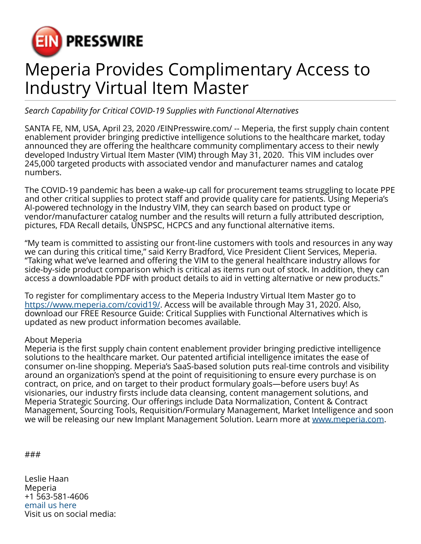

## Meperia Provides Complimentary Access to Industry Virtual Item Master

## *Search Capability for Critical COVID-19 Supplies with Functional Alternatives*

SANTA FE, NM, USA, April 23, 2020 [/EINPresswire.com](http://www.einpresswire.com)/ -- Meperia, the first supply chain content enablement provider bringing predictive intelligence solutions to the healthcare market, today announced they are offering the healthcare community complimentary access to their newly developed Industry Virtual Item Master (VIM) through May 31, 2020. This VIM includes over 245,000 targeted products with associated vendor and manufacturer names and catalog numbers.

The COVID-19 pandemic has been a wake-up call for procurement teams struggling to locate PPE and other critical supplies to protect staff and provide quality care for patients. Using Meperia's AI-powered technology in the Industry VIM, they can search based on product type or vendor/manufacturer catalog number and the results will return a fully attributed description, pictures, FDA Recall details, UNSPSC, HCPCS and any functional alternative items.

"My team is committed to assisting our front-line customers with tools and resources in any way we can during this critical time," said Kerry Bradford, Vice President Client Services, Meperia. "Taking what we've learned and offering the VIM to the general healthcare industry allows for side-by-side product comparison which is critical as items run out of stock. In addition, they can access a downloadable PDF with product details to aid in vetting alternative or new products."

To register for complimentary access to the Meperia Industry Virtual Item Master go to <https://www.meperia.com/covid19/>. Access will be available through May 31, 2020. Also, download our FREE Resource Guide: Critical Supplies with Functional Alternatives which is updated as new product information becomes available.

## About Meperia

Meperia is the first supply chain content enablement provider bringing predictive intelligence solutions to the healthcare market. Our patented artificial intelligence imitates the ease of consumer on-line shopping. Meperia's SaaS-based solution puts real-time controls and visibility around an organization's spend at the point of requisitioning to ensure every purchase is on contract, on price, and on target to their product formulary goals—before users buy! As visionaries, our industry firsts include data cleansing, content management solutions, and Meperia Strategic Sourcing. Our offerings include Data Normalization, Content & Contract Management, Sourcing Tools, Requisition/Formulary Management, Market Intelligence and soon we will be releasing our new Implant Management Solution. Learn more at [www.meperia.com.](http://www.meperia.com)

```
###
```
Leslie Haan Meperia +1 563-581-4606 [email us here](http://www.einpresswire.com/contact_author/2818548) Visit us on social media: